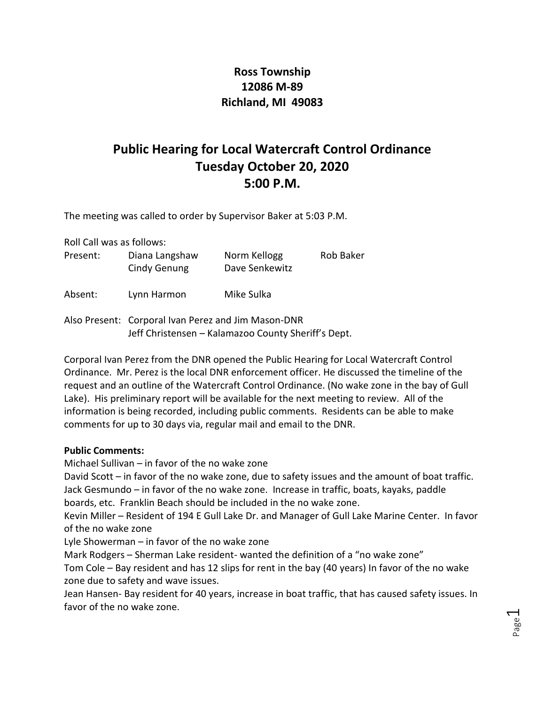## **Ross Township 12086 M-89 Richland, MI 49083**

## **Public Hearing for Local Watercraft Control Ordinance Tuesday October 20, 2020 5:00 P.M.**

The meeting was called to order by Supervisor Baker at 5:03 P.M.

Roll Call was as follows:

| Present: | Diana Langshaw<br>Cindy Genung | Norm Kellogg<br>Dave Senkewitz | <b>Rob Baker</b> |
|----------|--------------------------------|--------------------------------|------------------|
| Absent:  | Lynn Harmon                    | Mike Sulka                     |                  |

Also Present: Corporal Ivan Perez and Jim Mason-DNR Jeff Christensen – Kalamazoo County Sheriff's Dept.

Corporal Ivan Perez from the DNR opened the Public Hearing for Local Watercraft Control Ordinance. Mr. Perez is the local DNR enforcement officer. He discussed the timeline of the request and an outline of the Watercraft Control Ordinance. (No wake zone in the bay of Gull Lake). His preliminary report will be available for the next meeting to review. All of the information is being recorded, including public comments. Residents can be able to make comments for up to 30 days via, regular mail and email to the DNR.

## **Public Comments:**

Michael Sullivan – in favor of the no wake zone

David Scott – in favor of the no wake zone, due to safety issues and the amount of boat traffic. Jack Gesmundo – in favor of the no wake zone. Increase in traffic, boats, kayaks, paddle boards, etc. Franklin Beach should be included in the no wake zone.

Kevin Miller – Resident of 194 E Gull Lake Dr. and Manager of Gull Lake Marine Center. In favor of the no wake zone

Lyle Showerman – in favor of the no wake zone

Mark Rodgers – Sherman Lake resident- wanted the definition of a "no wake zone"

Tom Cole – Bay resident and has 12 slips for rent in the bay (40 years) In favor of the no wake zone due to safety and wave issues.

Jean Hansen- Bay resident for 40 years, increase in boat traffic, that has caused safety issues. In favor of the no wake zone.